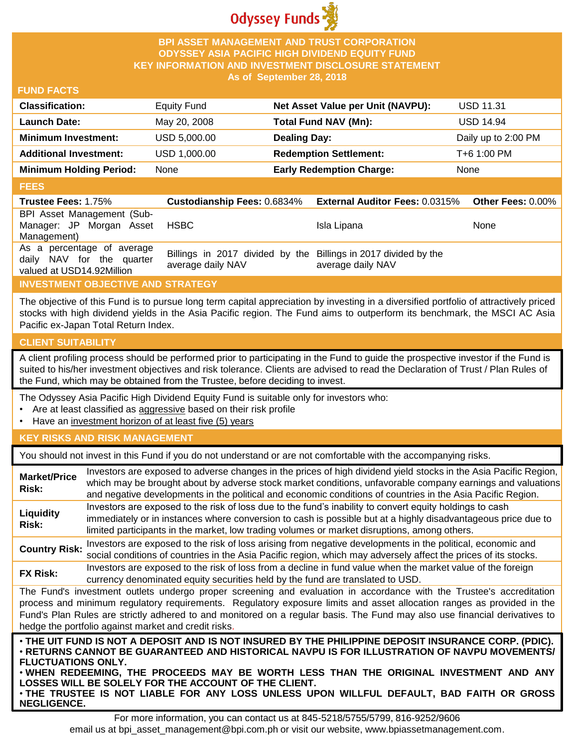

## **BPI ASSET MANAGEMENT AND TRUST CORPORATION ODYSSEY ASIA PACIFIC HIGH DIVIDEND EQUITY FUND KEY INFORMATION AND INVESTMENT DISCLOSURE STATEMENT As of September 28, 2018**

## **FUND FACTS**

| <b>Classification:</b>         | <b>Equity Fund</b> | Net Asset Value per Unit (NAVPU): | <b>USD 11.31</b>    |
|--------------------------------|--------------------|-----------------------------------|---------------------|
| <b>Launch Date:</b>            | May 20, 2008       | Total Fund NAV (Mn):              | <b>USD 14.94</b>    |
| <b>Minimum Investment:</b>     | USD 5,000.00       | <b>Dealing Day:</b>               | Daily up to 2:00 PM |
| <b>Additional Investment:</b>  | USD 1,000.00       | <b>Redemption Settlement:</b>     | T+6 1:00 PM         |
| <b>Minimum Holding Period:</b> | None               | <b>Early Redemption Charge:</b>   | None                |

#### **FEES**

| <b>Trustee Fees: 1.75%</b>                                                           | <b>Custodianship Fees: 0.6834%</b>                                                   | <b>External Auditor Fees: 0.0315%</b> | Other Fees: $0.00\%$ |
|--------------------------------------------------------------------------------------|--------------------------------------------------------------------------------------|---------------------------------------|----------------------|
| BPI Asset Management (Sub-<br>Manager: JP Morgan Asset<br>Management)                | <b>HSBC</b>                                                                          | Isla Lipana                           | <b>None</b>          |
| As a percentage of average<br>daily NAV for the quarter<br>valued at USD14.92Million | Billings in 2017 divided by the Billings in 2017 divided by the<br>average daily NAV | average daily NAV                     |                      |

# **INVESTMENT OBJECTIVE AND STRATEGY**

The objective of this Fund is to pursue long term capital appreciation by investing in a diversified portfolio of attractively priced stocks with high dividend yields in the Asia Pacific region. The Fund aims to outperform its benchmark, the MSCI AC Asia Pacific ex-Japan Total Return Index.

# **CLIENT SUITABILITY**

**NEGLIGENCE.**

A client profiling process should be performed prior to participating in the Fund to guide the prospective investor if the Fund is suited to his/her investment objectives and risk tolerance. Clients are advised to read the Declaration of Trust / Plan Rules of the Fund, which may be obtained from the Trustee, before deciding to invest.

The Odyssey Asia Pacific High Dividend Equity Fund is suitable only for investors who:

- Are at least classified as aggressive based on their risk profile
- Have an investment horizon of at least five (5) years

# **KEY RISKS AND RISK MANAGEMENT**

You should not invest in this Fund if you do not understand or are not comfortable with the accompanying risks.

| <b>Market/Price</b><br>Risk:                                                                                                                                                                                                                                                                                                                                                                                                                                                  | Investors are exposed to adverse changes in the prices of high dividend yield stocks in the Asia Pacific Region,<br>which may be brought about by adverse stock market conditions, unfavorable company earnings and valuations<br>and negative developments in the political and economic conditions of countries in the Asia Pacific Region. |  |  |
|-------------------------------------------------------------------------------------------------------------------------------------------------------------------------------------------------------------------------------------------------------------------------------------------------------------------------------------------------------------------------------------------------------------------------------------------------------------------------------|-----------------------------------------------------------------------------------------------------------------------------------------------------------------------------------------------------------------------------------------------------------------------------------------------------------------------------------------------|--|--|
| Liquidity<br>Risk:                                                                                                                                                                                                                                                                                                                                                                                                                                                            | Investors are exposed to the risk of loss due to the fund's inability to convert equity holdings to cash<br>immediately or in instances where conversion to cash is possible but at a highly disadvantageous price due to<br>limited participants in the market, low trading volumes or market disruptions, among others.                     |  |  |
| <b>Country Risk:</b>                                                                                                                                                                                                                                                                                                                                                                                                                                                          | Investors are exposed to the risk of loss arising from negative developments in the political, economic and<br>social conditions of countries in the Asia Pacific region, which may adversely affect the prices of its stocks.                                                                                                                |  |  |
| <b>FX Risk:</b>                                                                                                                                                                                                                                                                                                                                                                                                                                                               | Investors are exposed to the risk of loss from a decline in fund value when the market value of the foreign<br>currency denominated equity securities held by the fund are translated to USD.                                                                                                                                                 |  |  |
| The Fund's investment outlets undergo proper screening and evaluation in accordance with the Trustee's accreditation<br>process and minimum regulatory requirements. Regulatory exposure limits and asset allocation ranges as provided in the<br>Fund's Plan Rules are strictly adhered to and monitored on a regular basis. The Fund may also use financial derivatives to<br>hedge the portfolio against market and credit risks.                                          |                                                                                                                                                                                                                                                                                                                                               |  |  |
| . THE UIT FUND IS NOT A DEPOSIT AND IS NOT INSURED BY THE PHILIPPINE DEPOSIT INSURANCE CORP. (PDIC).<br>· RETURNS CANNOT BE GUARANTEED AND HISTORICAL NAVPU IS FOR ILLUSTRATION OF NAVPU MOVEMENTS/<br><b>FLUCTUATIONS ONLY.</b><br>. WHEN REDEEMING, THE PROCEEDS MAY BE WORTH LESS THAN THE ORIGINAL INVESTMENT AND ANY<br>LOSSES WILL BE SOLELY FOR THE ACCOUNT OF THE CLIENT.<br>. THE TRUSTEE IS NOT LIABLE FOR ANY LOSS UNLESS UPON WILLFUL DEFAULT, BAD FAITH OR GROSS |                                                                                                                                                                                                                                                                                                                                               |  |  |

For more information, you can contact us at 845-5218/5755/5799, 816-9252/9606 email us at bpi\_asset\_management@bpi.com.ph or visit our website, www.bpiassetmanagement.com.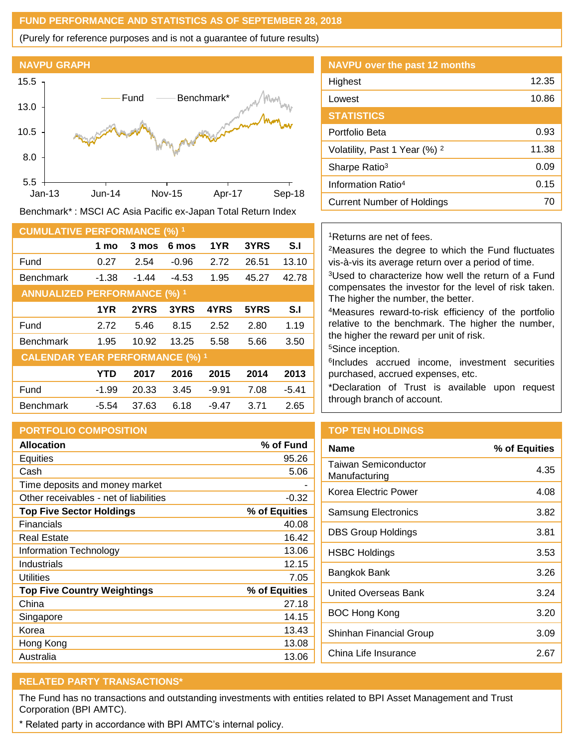### **FUND PERFORMANCE AND STATISTICS AS OF SEPTEMBER 28, 2018**

(Purely for reference purposes and is not a guarantee of future results)



Benchmark\* : MSCI AC Asia Pacific ex-Japan Total Return Index

| <b>CUMULATIVE PERFORMANCE (%) 1</b>    |         |         |         |         |       |         |
|----------------------------------------|---------|---------|---------|---------|-------|---------|
|                                        | 1 mo    | 3 mos   | 6 mos   | 1YR     | 3YRS  | S.I     |
| Fund                                   | 0.27    | 2.54    | $-0.96$ | 2.72    | 26.51 | 13.10   |
| <b>Benchmark</b>                       | $-1.38$ | $-1.44$ | $-4.53$ | 1.95    | 45.27 | 42.78   |
| <b>ANNUALIZED PERFORMANCE (%) 1</b>    |         |         |         |         |       |         |
|                                        | 1YR     | 2YRS    | 3YRS    | 4YRS    | 5YRS  | S.I     |
| Fund                                   | 2.72    | 5.46    | 8.15    | 2.52    | 2.80  | 1.19    |
| <b>Benchmark</b>                       | 1.95    | 10.92   | 13.25   | 5.58    | 5.66  | 3.50    |
| <b>CALENDAR YEAR PERFORMANCE (%) 1</b> |         |         |         |         |       |         |
|                                        | YTD     | 2017    | 2016    | 2015    | 2014  | 2013    |
| Fund                                   | $-1.99$ | 20.33   | 3.45    | $-9.91$ | 7.08  | $-5.41$ |
| <b>Benchmark</b>                       | $-5.54$ | 37.63   | 6.18    | $-9.47$ | 3.71  | 2.65    |

# **PORTFOLIO COMPOSITION**

| <b>Allocation</b>                      | % of Fund     |
|----------------------------------------|---------------|
| Equities                               | 95.26         |
| Cash                                   | 5.06          |
| Time deposits and money market         |               |
| Other receivables - net of liabilities | $-0.32$       |
| <b>Top Five Sector Holdings</b>        | % of Equities |
| Financials                             | 40.08         |
| Real Estate                            | 16.42         |
| Information Technology                 | 13.06         |
| Industrials                            | 12.15         |
| Utilities                              | 7.05          |
| <b>Top Five Country Weightings</b>     | % of Equities |
| China                                  | 27.18         |
| Singapore                              | 14.15         |
| Korea                                  | 13.43         |
| Hong Kong                              | 13.08         |
| Australia                              | 13.06         |

| <b>NAVPU over the past 12 months</b>     |       |
|------------------------------------------|-------|
| Highest                                  | 12.35 |
| Lowest                                   | 10.86 |
| <b>STATISTICS</b>                        |       |
| Portfolio Beta                           | 0.93  |
| Volatility, Past 1 Year (%) <sup>2</sup> | 11.38 |
| Sharpe Ratio <sup>3</sup>                | 0.09  |
| Information Ratio <sup>4</sup>           | 0.15  |
| Current Number of Holdings               | 70    |
|                                          |       |

## <sup>1</sup>Returns are net of fees.

<sup>2</sup>Measures the degree to which the Fund fluctuates vis-à-vis its average return over a period of time.

<sup>3</sup>Used to characterize how well the return of a Fund compensates the investor for the level of risk taken. The higher the number, the better.

<sup>4</sup>Measures reward-to-risk efficiency of the portfolio relative to the benchmark. The higher the number, the higher the reward per unit of risk.

<sup>5</sup>Since inception.

6 Includes accrued income, investment securities purchased, accrued expenses, etc.

\*Declaration of Trust is available upon request through branch of account.

# **TOP TEN HOLDINGS**

| Name                                  | % of Equities |
|---------------------------------------|---------------|
| Taiwan Semiconductor<br>Manufacturing | 4.35          |
| Korea Electric Power                  | 4.08          |
| Samsung Electronics                   | 3.82          |
| <b>DBS Group Holdings</b>             | 3.81          |
| <b>HSBC Holdings</b>                  | 3.53          |
| Bangkok Bank                          | 3.26          |
| United Overseas Bank                  | 3.24          |
| <b>BOC Hong Kong</b>                  | 3.20          |
| Shinhan Financial Group               | 3.09          |
| China Life Insurance                  | 2.67          |

# **RELATED PARTY TRANSACTIONS\***

The Fund has no transactions and outstanding investments with entities related to BPI Asset Management and Trust Corporation (BPI AMTC).

\* Related party in accordance with BPI AMTC's internal policy.